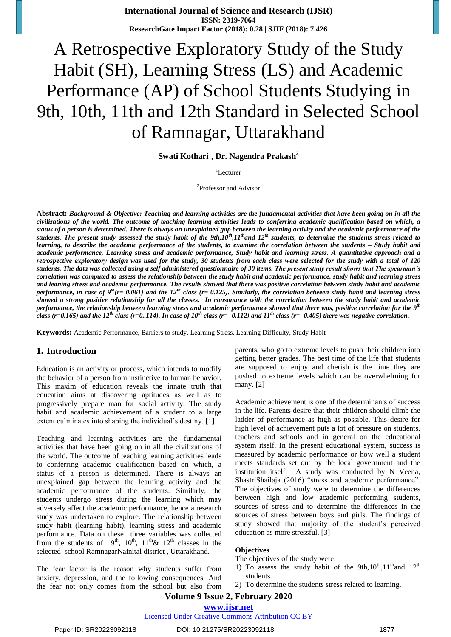# A Retrospective Exploratory Study of the Study Habit (SH), Learning Stress (LS) and Academic Performance (AP) of School Students Studying in 9th, 10th, 11th and 12th Standard in Selected School of Ramnagar, Uttarakhand

**Swati Kothari<sup>1</sup> , Dr. Nagendra Prakash<sup>2</sup>**

 $1$ Lecturer

<sup>2</sup>Professor and Advisor

**Abstract:** *Background & Objective: Teaching and learning activities are the fundamental activities that have been going on in all the civilizations of the world. The outcome of teaching learning activities leads to conferring academic qualification based on which, a status of a person is determined. There is always an unexplained gap between the learning activity and the academic performance of the students. The present study assessed the study habit of the 9th,10th,11thand 12th students, to determine the students stress related to learning, to describe the academic performance of the students, to examine the correlation between the students – Study habit and academic performance, Learning stress and academic performance, Study habit and learning stress. A quantitative approach and a retrospective exploratory design was used for the study, 30 students from each class were selected for the study with a total of 120 students. The data was collected using a self administered questionnaire of 30 items. The present study result shows that The spearman's correlation was computed to assess the relationship between the study habit and academic performance, study habit and learning stress and leaning stress and academic performance. The results showed that there was positive correlation between study habit and academic performance, in case of 9th(r= 0.061) and the 12th class (r= 0.125). Similarly, the correlation between study habit and learning stress showed a strong positive relationship for all the classes. In consonance with the correlation between the study habit and academic performance, the relationship between learning stress and academic performance showed that there was, positive correlation for the 9th class (r=0.165) and the 12<sup>th</sup> class (r=0..114). In case of 10<sup>th</sup> class (r= -0.112) and 11<sup>th</sup> class (r= -0.405) there was negative correlation.* 

**Keywords:** Academic Performance, Barriers to study, Learning Stress, Learning Difficulty, Study Habit

#### **1. Introduction**

Education is an activity or process, which intends to modify the behavior of a person from instinctive to human behavior. This maxim of education reveals the innate truth that education aims at discovering aptitudes as well as to progressively prepare man for social activity. The study habit and academic achievement of a student to a large extent culminates into shaping the individual's destiny. [1]

Teaching and learning activities are the fundamental activities that have been going on in all the civilizations of the world. The outcome of teaching learning activities leads to conferring academic qualification based on which, a status of a person is determined. There is always an unexplained gap between the learning activity and the academic performance of the students. Similarly, the students undergo stress during the learning which may adversely affect the academic performance, hence a research study was undertaken to explore. The relationship between study habit (learning habit), learning stress and academic performance. Data on these three variables was collected from the students of  $9<sup>th</sup>$ ,  $10<sup>th</sup>$ ,  $11<sup>th</sup>$  &  $12<sup>th</sup>$  classes in the selected school RamnagarNainital district , Uttarakhand.

The fear factor is the reason why students suffer from anxiety, depression, and the following consequences. And the fear not only comes from the school but also from parents, who go to extreme levels to push their children into getting better grades. The best time of the life that students are supposed to enjoy and cherish is the time they are pushed to extreme levels which can be overwhelming for many. [2]

Academic achievement is one of the determinants of success in the life. Parents desire that their children should climb the ladder of performance as high as possible. This desire for high level of achievement puts a lot of pressure on students, teachers and schools and in general on the educational system itself. In the present educational system, success is measured by academic performance or how well a student meets standards set out by the local government and the institution itself. A study was conducted by N Veena, ShastriShailaja (2016) "stress and academic performance". The objectives of study were to determine the differences between high and low academic performing students, sources of stress and to determine the differences in the sources of stress between boys and girls. The findings of study showed that majority of the student"s perceived education as more stressful. [3]

#### **Objectives**

The objectives of the study were:

- 1) To assess the study habit of the 9th, $10^{th}$ , $11^{th}$  and  $12^{th}$ students.
- 2) To determine the students stress related to learning.

#### **Volume 9 Issue 2, February 2020**

#### **www.ijsr.net** Licensed Under Creative Commons Attribution CC BY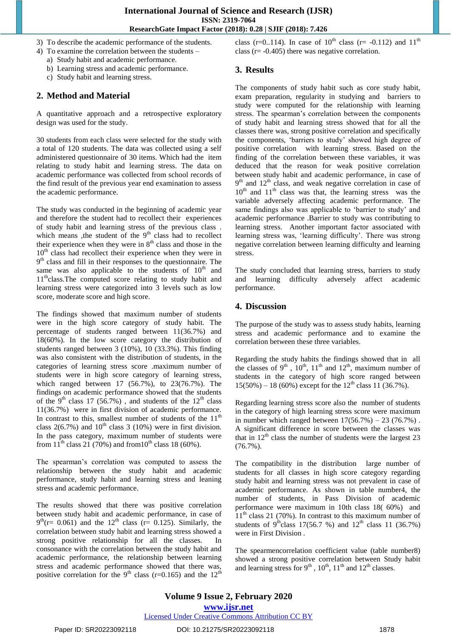- 3) To describe the academic performance of the students.
- 4) To examine the correlation between the students
	- a) Study habit and academic performance.
	- b) Learning stress and academic performance.
	- c) Study habit and learning stress.

# **2. Method and Material**

A quantitative approach and a retrospective exploratory design was used for the study.

30 students from each class were selected for the study with a total of 120 students. The data was collected using a self administered questionnaire of 30 items. Which had the item relating to study habit and learning stress. The data on academic performance was collected from school records of the find result of the previous year end examination to assess the academic performance.

The study was conducted in the beginning of academic year and therefore the student had to recollect their experiences of study habit and learning stress of the previous class . which means , the student of the  $9<sup>th</sup>$  class had to recollect their experience when they were in  $8<sup>th</sup>$  class and those in the 10<sup>th</sup> class had recollect their experience when they were in 9<sup>th</sup> class and fill in their responses to the questionnaire. The same was also applicable to the students of  $10<sup>th</sup>$  and  $11<sup>th</sup>$ class. The computed score relating to study habit and learning stress were categorized into 3 levels such as low score, moderate score and high score.

The findings showed that maximum number of students were in the high score category of study habit. The percentage of students ranged between 11(36.7%) and 18(60%). In the low score category the distribution of students ranged between 3 (10%), 10 (33.3%). This finding was also consistent with the distribution of students, in the categories of learning stress score .maximum number of students were in high score category of learning stress, which ranged between 17 (56.7%), to 23(76.7%). The findings on academic performance showed that the students of the 9<sup>th</sup> class 17 (56.7%), and students of the  $12<sup>th</sup>$  class 11(36.7%) were in first division of academic performance. In contrast to this, smallest number of students of the  $11<sup>th</sup>$ class  $2(6.7\%)$  and  $10^{th}$  class 3 (10%) were in first division. In the pass category, maximum number of students were from  $11^{th}$  class 21 (70%) and from  $10^{th}$  class 18 (60%).

The spearman's correlation was computed to assess the relationship between the study habit and academic performance, study habit and learning stress and leaning stress and academic performance.

The results showed that there was positive correlation between study habit and academic performance, in case of  $9<sup>th</sup>(r= 0.061)$  and the 12<sup>th</sup> class (r= 0.125). Similarly, the correlation between study habit and learning stress showed a strong positive relationship for all the classes. In consonance with the correlation between the study habit and academic performance, the relationship between learning stress and academic performance showed that there was, positive correlation for the 9<sup>th</sup> class (r=0.165) and the 12<sup>th</sup>

class (r=0..114). In case of  $10^{th}$  class (r= -0.112) and  $11^{th}$ class ( $r = -0.405$ ) there was negative correlation.

#### **3. Results**

The components of study habit such as core study habit, exam preparation, regularity in studying and barriers to study were computed for the relationship with learning stress. The spearman"s correlation between the components of study habit and learning stress showed that for all the classes there was, strong positive correlation and specifically the components, "barriers to study" showed high degree of positive correlation with learning stress. Based on the finding of the correlation between these variables, it was deduced that the reason for weak positive correlation between study habit and academic performance, in case of 9<sup>th</sup> and 12<sup>th</sup> class, and weak negative correlation in case of  $10<sup>th</sup>$  and  $11<sup>th</sup>$  class was that, the learning stress was the variable adversely affecting academic performance. The same findings also was applicable to 'barrier to study' and academic performance .Barrier to study was contributing to learning stress. Another important factor associated with learning stress was, "learning difficulty". There was strong negative correlation between learning difficulty and learning stress.

The study concluded that learning stress, barriers to study and learning difficulty adversely affect academic performance.

## **4. Discussion**

The purpose of the study was to assess study habits, learning stress and academic performance and to examine the correlation between these three variables.

Regarding the study habits the findings showed that in all the classes of  $9<sup>th</sup>$ ,  $10<sup>th</sup>$ ,  $11<sup>th</sup>$  and  $12<sup>th</sup>$ , maximum number of students in the category of high score ranged between  $15(50\%) - 18(60\%)$  except for the  $12<sup>th</sup>$  class  $11(36.7\%)$ .

Regarding learning stress score also the number of students in the category of high learning stress score were maximum in number which ranged between  $17(56.7%) - 23(76.7%)$ . A significant difference in score between the classes was that in  $12<sup>th</sup>$  class the number of students were the largest 23  $(76.7\%)$ .

The compatibility in the distribution large number of students for all classes in high score category regarding study habit and learning stress was not prevalent in case of academic performance. As shown in table number4, the number of students, in Pass Division of academic performance were maximum in 10th class 18( 60%) and  $11<sup>th</sup>$  class 21 (70%). In contrast to this maximum number of students of  $9^{\text{th}}$ class 17(56.7 %) and 12<sup>th</sup> class 11 (36.7%) were in First Division .

The spearmencorrelation coefficient value (table number8) showed a strong positive correlation between Study habit and learning stress for  $9<sup>th</sup>$ ,  $10<sup>th</sup>$ ,  $11<sup>th</sup>$  and  $12<sup>th</sup>$  classes.